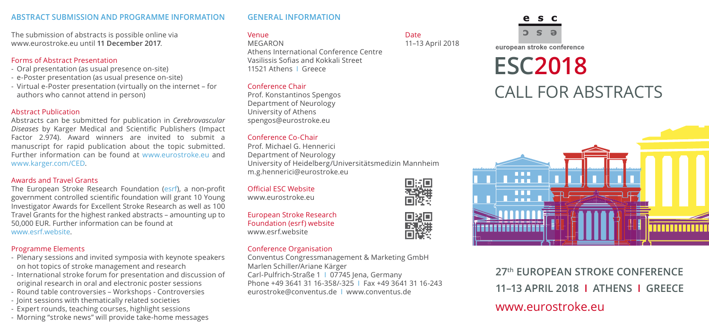#### **Abstract Submission AND PROGRAMME INFORMATION**

The submission of abstracts is possible online via www.eurostroke.eu until **11 December 2017**.

#### Forms of Abstract Presentation

- Oral presentation (as usual presence on-site)
- e-Poster presentation (as usual presence on-site)
- Virtual e-Poster presentation (virtually on the internet for authors who cannot attend in person)

#### Abstract Publication

Abstracts can be submitted for publication in *Cerebrovascular Diseases* by Karger Medical and Scientific Publishers (Impact Factor 2.974). Award winners are invited to submit a manuscript for rapid publication about the topic submitted. Further information can be found at www.eurostroke.eu and www.karger.com/CED.

#### Awards and Travel Grants

The European Stroke Research Foundation (esrf), a non-profit government controlled scientific foundation will grant 10 Young Investigator Awards for Excellent Stroke Research as well as 100 Travel Grants for the highest ranked abstracts – amounting up to 50,000 EUR. Further information can be found at www.esrf.website.

# Programme Elements

- Plenary sessions and invited symposia with keynote speakers on hot topics of stroke management and research
- International stroke forum for presentation and discussion of original research in oral and electronic poster sessions
- Round table controversies Workshops Controversies
- Joint sessions with thematically related societies
- Expert rounds, teaching courses, highlight sessions
- Morning "stroke news" will provide take-home messages

# **General Information**

# Venue de la component de la component de la component de la component de la component de la component de la co

MEGARON 11–13 April 2018 Athens International Conference Centre Vasilissis Sofias and Kokkali Street 11521 Athens I Greece

# Conference Chair

Prof. Konstantinos Spengos Department of Neurology University of Athens spengos@eurostroke.eu

# Conference Co-Chair

Prof. Michael G. Hennerici Department of Neurology University of Heidelberg/Universitätsmedizin Mannheim m.g.hennerici@eurostroke.eu

Official ESC Website www.eurostroke.eu

European Stroke Research Foundation (esrf) website www.esrf.website

# Conference Organisation

Conventus Congressmanagement & Marketing GmbH Marlen Schiller/Ariane Kärger Carl-Pulfrich-Straße 1 I 07745 Jena, Germany Phone +49 3641 31 16-358/-325 I Fax +49 3641 31 16-243 eurostroke@conventus.de I www.conventus.de



# **ESC2018** Call for Abstracts



**27th European Stroke Conference 11–13 APRIL 2018 I athens I greece** www.eurostroke.eu